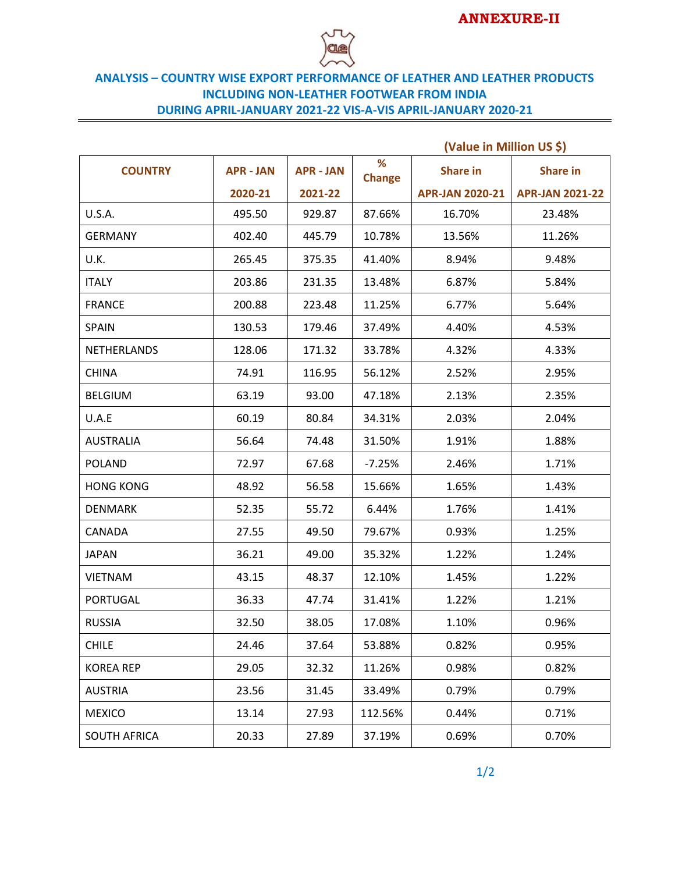

## **ANALYSIS – COUNTRY WISE EXPORT PERFORMANCE OF LEATHER AND LEATHER PRODUCTS INCLUDING NON-LEATHER FOOTWEAR FROM INDIA DURING APRIL-JANUARY 2021-22 VIS-A-VIS APRIL-JANUARY 2020-21**

|                     |                  |                  |                    | (Value in Million US \$) |                        |
|---------------------|------------------|------------------|--------------------|--------------------------|------------------------|
| <b>COUNTRY</b>      | <b>APR - JAN</b> | <b>APR - JAN</b> | %<br><b>Change</b> | <b>Share in</b>          | <b>Share in</b>        |
|                     | 2020-21          | 2021-22          |                    | <b>APR-JAN 2020-21</b>   | <b>APR-JAN 2021-22</b> |
| <b>U.S.A.</b>       | 495.50           | 929.87           | 87.66%             | 16.70%                   | 23.48%                 |
| <b>GERMANY</b>      | 402.40           | 445.79           | 10.78%             | 13.56%                   | 11.26%                 |
| U.K.                | 265.45           | 375.35           | 41.40%             | 8.94%                    | 9.48%                  |
| <b>ITALY</b>        | 203.86           | 231.35           | 13.48%             | 6.87%                    | 5.84%                  |
| <b>FRANCE</b>       | 200.88           | 223.48           | 11.25%             | 6.77%                    | 5.64%                  |
| <b>SPAIN</b>        | 130.53           | 179.46           | 37.49%             | 4.40%                    | 4.53%                  |
| <b>NETHERLANDS</b>  | 128.06           | 171.32           | 33.78%             | 4.32%                    | 4.33%                  |
| <b>CHINA</b>        | 74.91            | 116.95           | 56.12%             | 2.52%                    | 2.95%                  |
| <b>BELGIUM</b>      | 63.19            | 93.00            | 47.18%             | 2.13%                    | 2.35%                  |
| U.A.E               | 60.19            | 80.84            | 34.31%             | 2.03%                    | 2.04%                  |
| <b>AUSTRALIA</b>    | 56.64            | 74.48            | 31.50%             | 1.91%                    | 1.88%                  |
| <b>POLAND</b>       | 72.97            | 67.68            | $-7.25%$           | 2.46%                    | 1.71%                  |
| <b>HONG KONG</b>    | 48.92            | 56.58            | 15.66%             | 1.65%                    | 1.43%                  |
| <b>DENMARK</b>      | 52.35            | 55.72            | 6.44%              | 1.76%                    | 1.41%                  |
| CANADA              | 27.55            | 49.50            | 79.67%             | 0.93%                    | 1.25%                  |
| <b>JAPAN</b>        | 36.21            | 49.00            | 35.32%             | 1.22%                    | 1.24%                  |
| <b>VIETNAM</b>      | 43.15            | 48.37            | 12.10%             | 1.45%                    | 1.22%                  |
| <b>PORTUGAL</b>     | 36.33            | 47.74            | 31.41%             | 1.22%                    | 1.21%                  |
| <b>RUSSIA</b>       | 32.50            | 38.05            | 17.08%             | 1.10%                    | 0.96%                  |
| <b>CHILE</b>        | 24.46            | 37.64            | 53.88%             | 0.82%                    | 0.95%                  |
| <b>KOREA REP</b>    | 29.05            | 32.32            | 11.26%             | 0.98%                    | 0.82%                  |
| <b>AUSTRIA</b>      | 23.56            | 31.45            | 33.49%             | 0.79%                    | 0.79%                  |
| <b>MEXICO</b>       | 13.14            | 27.93            | 112.56%            | 0.44%                    | 0.71%                  |
| <b>SOUTH AFRICA</b> | 20.33            | 27.89            | 37.19%             | 0.69%                    | 0.70%                  |

1/2